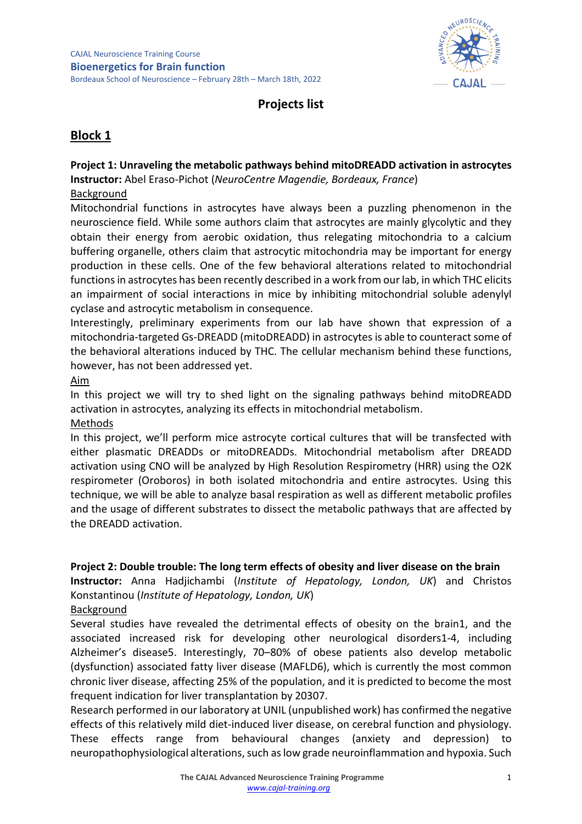

# **Projects list**

# **Block 1**

# **Project 1: Unraveling the metabolic pathways behind mitoDREADD activation in astrocytes**

**Instructor:** Abel Eraso-Pichot (*NeuroCentre Magendie, Bordeaux, France*)

### Background

Mitochondrial functions in astrocytes have always been a puzzling phenomenon in the neuroscience field. While some authors claim that astrocytes are mainly glycolytic and they obtain their energy from aerobic oxidation, thus relegating mitochondria to a calcium buffering organelle, others claim that astrocytic mitochondria may be important for energy production in these cells. One of the few behavioral alterations related to mitochondrial functions in astrocytes has been recently described in a work from our lab, in which THC elicits an impairment of social interactions in mice by inhibiting mitochondrial soluble adenylyl cyclase and astrocytic metabolism in consequence.

Interestingly, preliminary experiments from our lab have shown that expression of a mitochondria-targeted Gs-DREADD (mitoDREADD) in astrocytes is able to counteract some of the behavioral alterations induced by THC. The cellular mechanism behind these functions, however, has not been addressed yet.

#### Aim

In this project we will try to shed light on the signaling pathways behind mitoDREADD activation in astrocytes, analyzing its effects in mitochondrial metabolism.

### Methods

In this project, we'll perform mice astrocyte cortical cultures that will be transfected with either plasmatic DREADDs or mitoDREADDs. Mitochondrial metabolism after DREADD activation using CNO will be analyzed by High Resolution Respirometry (HRR) using the O2K respirometer (Oroboros) in both isolated mitochondria and entire astrocytes. Using this technique, we will be able to analyze basal respiration as well as different metabolic profiles and the usage of different substrates to dissect the metabolic pathways that are affected by the DREADD activation.

### **Project 2: Double trouble: The long term effects of obesity and liver disease on the brain**

**Instructor:** Anna Hadjichambi (*Institute of Hepatology, London, UK*) and Christos Konstantinou (*Institute of Hepatology, London, UK*)

Background

Several studies have revealed the detrimental effects of obesity on the brain1, and the associated increased risk for developing other neurological disorders1-4, including Alzheimer's disease5. Interestingly, 70–80% of obese patients also develop metabolic (dysfunction) associated fatty liver disease (MAFLD6), which is currently the most common chronic liver disease, affecting 25% of the population, and it is predicted to become the most frequent indication for liver transplantation by 20307.

Research performed in our laboratory at UNIL (unpublished work) has confirmed the negative effects of this relatively mild diet-induced liver disease, on cerebral function and physiology. These effects range from behavioural changes (anxiety and depression) to neuropathophysiological alterations, such as low grade neuroinflammation and hypoxia. Such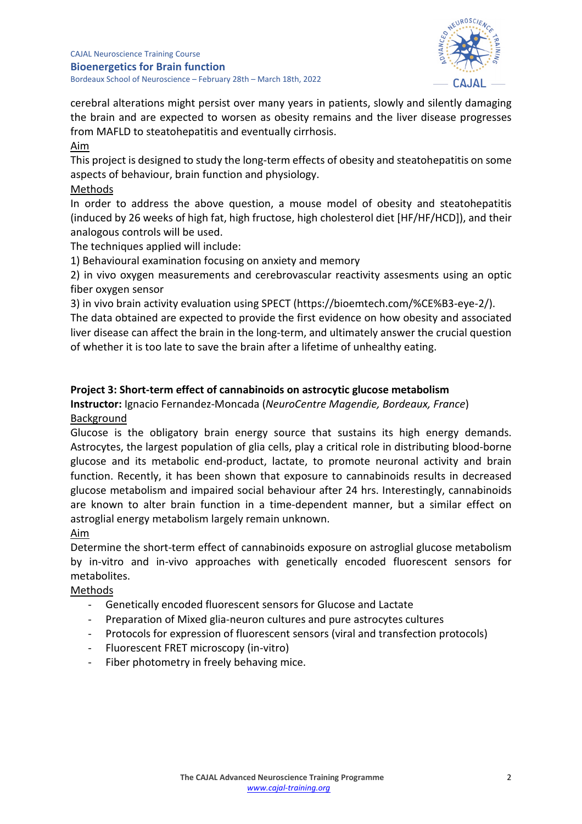

cerebral alterations might persist over many years in patients, slowly and silently damaging the brain and are expected to worsen as obesity remains and the liver disease progresses from MAFLD to steatohepatitis and eventually cirrhosis.

Aim

This project is designed to study the long-term effects of obesity and steatohepatitis on some aspects of behaviour, brain function and physiology.

### Methods

In order to address the above question, a mouse model of obesity and steatohepatitis (induced by 26 weeks of high fat, high fructose, high cholesterol diet [HF/HF/HCD]), and their analogous controls will be used.

The techniques applied will include:

1) Behavioural examination focusing on anxiety and memory

2) in vivo oxygen measurements and cerebrovascular reactivity assesments using an optic fiber oxygen sensor

3) in vivo brain activity evaluation using SPECT (https://bioemtech.com/%CE%B3-eye-2/).

The data obtained are expected to provide the first evidence on how obesity and associated liver disease can affect the brain in the long-term, and ultimately answer the crucial question of whether it is too late to save the brain after a lifetime of unhealthy eating.

### **Project 3: Short-term effect of cannabinoids on astrocytic glucose metabolism**

# **Instructor:** Ignacio Fernandez-Moncada (*NeuroCentre Magendie, Bordeaux, France*) Background

Glucose is the obligatory brain energy source that sustains its high energy demands. Astrocytes, the largest population of glia cells, play a critical role in distributing blood-borne glucose and its metabolic end-product, lactate, to promote neuronal activity and brain function. Recently, it has been shown that exposure to cannabinoids results in decreased glucose metabolism and impaired social behaviour after 24 hrs. Interestingly, cannabinoids are known to alter brain function in a time-dependent manner, but a similar effect on astroglial energy metabolism largely remain unknown.

### Aim

Determine the short-term effect of cannabinoids exposure on astroglial glucose metabolism by in-vitro and in-vivo approaches with genetically encoded fluorescent sensors for metabolites.

### Methods

- Genetically encoded fluorescent sensors for Glucose and Lactate
- Preparation of Mixed glia-neuron cultures and pure astrocytes cultures
- Protocols for expression of fluorescent sensors (viral and transfection protocols)
- Fluorescent FRET microscopy (in-vitro)
- Fiber photometry in freely behaving mice.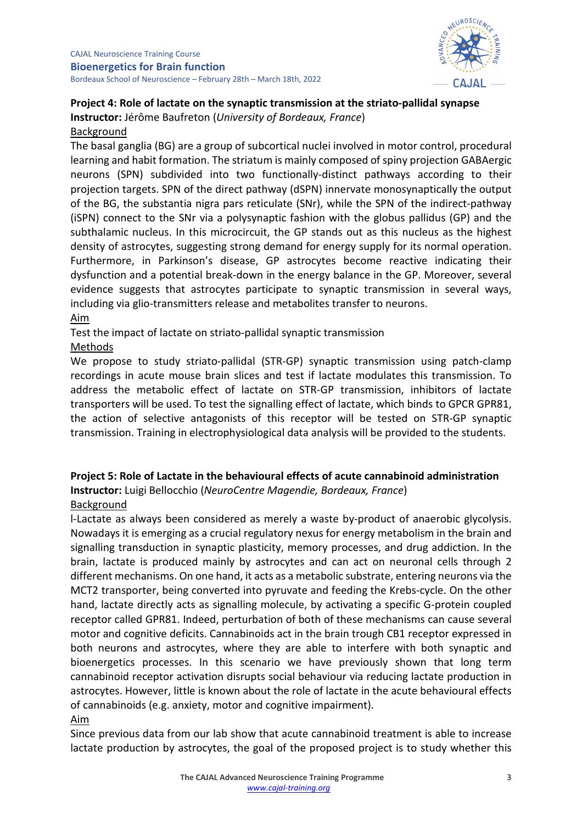

# **Project 4: Role of lactate on the synaptic transmission at the striato-pallidal synapse Instructor:** Jérôme Baufreton (*University of Bordeaux, France*)

#### Background

The basal ganglia (BG) are a group of subcortical nuclei involved in motor control, procedural learning and habit formation. The striatum is mainly composed of spiny projection GABAergic neurons (SPN) subdivided into two functionally-distinct pathways according to their projection targets. SPN of the direct pathway (dSPN) innervate monosynaptically the output of the BG, the substantia nigra pars reticulate (SNr), while the SPN of the indirect-pathway (iSPN) connect to the SNr via a polysynaptic fashion with the globus pallidus (GP) and the subthalamic nucleus. In this microcircuit, the GP stands out as this nucleus as the highest density of astrocytes, suggesting strong demand for energy supply for its normal operation. Furthermore, in Parkinson's disease, GP astrocytes become reactive indicating their dysfunction and a potential break-down in the energy balance in the GP. Moreover, several evidence suggests that astrocytes participate to synaptic transmission in several ways, including via glio-transmitters release and metabolites transfer to neurons.

#### Aim

Test the impact of lactate on striato-pallidal synaptic transmission

### Methods

We propose to study striato-pallidal (STR-GP) synaptic transmission using patch-clamp recordings in acute mouse brain slices and test if lactate modulates this transmission. To address the metabolic effect of lactate on STR-GP transmission, inhibitors of lactate transporters will be used. To test the signalling effect of lactate, which binds to GPCR GPR81, the action of selective antagonists of this receptor will be tested on STR-GP synaptic transmission. Training in electrophysiological data analysis will be provided to the students.

# **Project 5: Role of Lactate in the behavioural effects of acute cannabinoid administration**

**Instructor:** Luigi Bellocchio (*NeuroCentre Magendie, Bordeaux, France*)

### Background

l-Lactate as always been considered as merely a waste by-product of anaerobic glycolysis. Nowadays it is emerging as a crucial regulatory nexus for energy metabolism in the brain and signalling transduction in synaptic plasticity, memory processes, and drug addiction. In the brain, lactate is produced mainly by astrocytes and can act on neuronal cells through 2 different mechanisms. On one hand, it acts as a metabolic substrate, entering neurons via the MCT2 transporter, being converted into pyruvate and feeding the Krebs-cycle. On the other hand, lactate directly acts as signalling molecule, by activating a specific G-protein coupled receptor called GPR81. Indeed, perturbation of both of these mechanisms can cause several motor and cognitive deficits. Cannabinoids act in the brain trough CB1 receptor expressed in both neurons and astrocytes, where they are able to interfere with both synaptic and bioenergetics processes. In this scenario we have previously shown that long term cannabinoid receptor activation disrupts social behaviour via reducing lactate production in astrocytes. However, little is known about the role of lactate in the acute behavioural effects of cannabinoids (e.g. anxiety, motor and cognitive impairment). Aim

Since previous data from our lab show that acute cannabinoid treatment is able to increase lactate production by astrocytes, the goal of the proposed project is to study whether this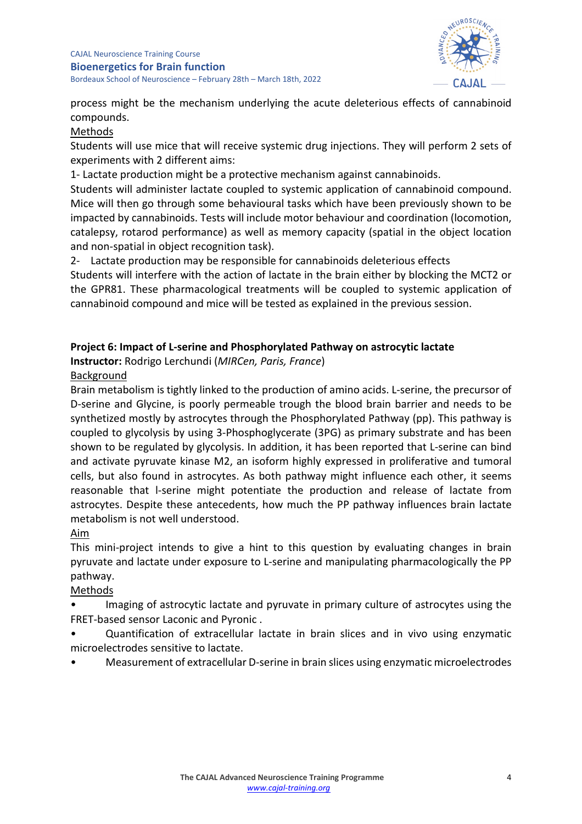

process might be the mechanism underlying the acute deleterious effects of cannabinoid compounds.

### Methods

Students will use mice that will receive systemic drug injections. They will perform 2 sets of experiments with 2 different aims:

1- Lactate production might be a protective mechanism against cannabinoids.

Students will administer lactate coupled to systemic application of cannabinoid compound. Mice will then go through some behavioural tasks which have been previously shown to be impacted by cannabinoids. Tests will include motor behaviour and coordination (locomotion, catalepsy, rotarod performance) as well as memory capacity (spatial in the object location and non-spatial in object recognition task).

2- Lactate production may be responsible for cannabinoids deleterious effects

Students will interfere with the action of lactate in the brain either by blocking the MCT2 or the GPR81. These pharmacological treatments will be coupled to systemic application of cannabinoid compound and mice will be tested as explained in the previous session.

### **Project 6: Impact of L-serine and Phosphorylated Pathway on astrocytic lactate**

**Instructor:** Rodrigo Lerchundi (*MIRCen, Paris, France*)

### Background

Brain metabolism is tightly linked to the production of amino acids. L-serine, the precursor of D-serine and Glycine, is poorly permeable trough the blood brain barrier and needs to be synthetized mostly by astrocytes through the Phosphorylated Pathway (pp). This pathway is coupled to glycolysis by using 3-Phosphoglycerate (3PG) as primary substrate and has been shown to be regulated by glycolysis. In addition, it has been reported that L-serine can bind and activate pyruvate kinase M2, an isoform highly expressed in proliferative and tumoral cells, but also found in astrocytes. As both pathway might influence each other, it seems reasonable that l-serine might potentiate the production and release of lactate from astrocytes. Despite these antecedents, how much the PP pathway influences brain lactate metabolism is not well understood.

#### Aim

This mini-project intends to give a hint to this question by evaluating changes in brain pyruvate and lactate under exposure to L-serine and manipulating pharmacologically the PP pathway.

### Methods

Imaging of astrocytic lactate and pyruvate in primary culture of astrocytes using the FRET-based sensor Laconic and Pyronic .

• Quantification of extracellular lactate in brain slices and in vivo using enzymatic microelectrodes sensitive to lactate.

• Measurement of extracellular D-serine in brain slices using enzymatic microelectrodes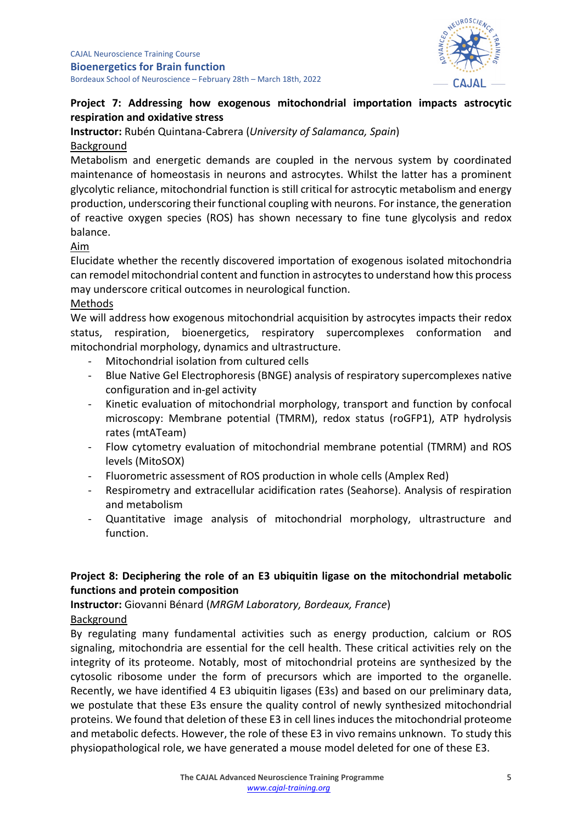

### **Project 7: Addressing how exogenous mitochondrial importation impacts astrocytic respiration and oxidative stress**

**Instructor:** Rubén Quintana-Cabrera (*University of Salamanca, Spain*) Background

Metabolism and energetic demands are coupled in the nervous system by coordinated maintenance of homeostasis in neurons and astrocytes. Whilst the latter has a prominent glycolytic reliance, mitochondrial function is still critical for astrocytic metabolism and energy production, underscoring their functional coupling with neurons. For instance, the generation of reactive oxygen species (ROS) has shown necessary to fine tune glycolysis and redox balance.

Aim

Elucidate whether the recently discovered importation of exogenous isolated mitochondria can remodel mitochondrial content and function in astrocytes to understand how this process may underscore critical outcomes in neurological function.

### Methods

We will address how exogenous mitochondrial acquisition by astrocytes impacts their redox status, respiration, bioenergetics, respiratory supercomplexes conformation and mitochondrial morphology, dynamics and ultrastructure.

- Mitochondrial isolation from cultured cells
- Blue Native Gel Electrophoresis (BNGE) analysis of respiratory supercomplexes native configuration and in-gel activity
- Kinetic evaluation of mitochondrial morphology, transport and function by confocal microscopy: Membrane potential (TMRM), redox status (roGFP1), ATP hydrolysis rates (mtATeam)
- Flow cytometry evaluation of mitochondrial membrane potential (TMRM) and ROS levels (MitoSOX)
- Fluorometric assessment of ROS production in whole cells (Amplex Red)
- Respirometry and extracellular acidification rates (Seahorse). Analysis of respiration and metabolism
- Quantitative image analysis of mitochondrial morphology, ultrastructure and function.

# **Project 8: Deciphering the role of an E3 ubiquitin ligase on the mitochondrial metabolic functions and protein composition**

**Instructor:** Giovanni Bénard (*MRGM Laboratory, Bordeaux, France*) Background

By regulating many fundamental activities such as energy production, calcium or ROS signaling, mitochondria are essential for the cell health. These critical activities rely on the integrity of its proteome. Notably, most of mitochondrial proteins are synthesized by the cytosolic ribosome under the form of precursors which are imported to the organelle. Recently, we have identified 4 E3 ubiquitin ligases (E3s) and based on our preliminary data, we postulate that these E3s ensure the quality control of newly synthesized mitochondrial proteins. We found that deletion of these E3 in cell lines induces the mitochondrial proteome and metabolic defects. However, the role of these E3 in vivo remains unknown. To study this physiopathological role, we have generated a mouse model deleted for one of these E3.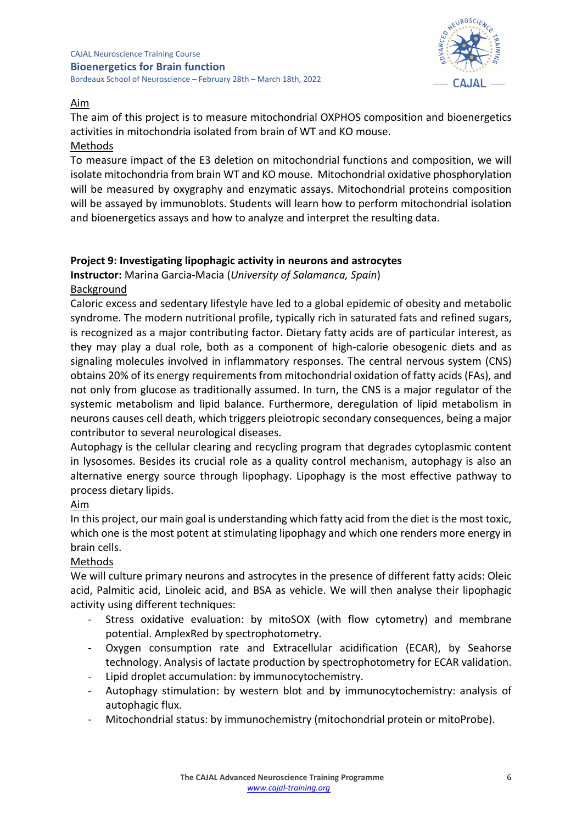#### CAJAL Neuroscience Training Course **Bioenergetics for Brain function** Bordeaux School of Neuroscience – February 28th – March 18th, 2022

NEUROSC

### Aim

The aim of this project is to measure mitochondrial OXPHOS composition and bioenergetics activities in mitochondria isolated from brain of WT and KO mouse.

### Methods

To measure impact of the E3 deletion on mitochondrial functions and composition, we will isolate mitochondria from brain WT and KO mouse. Mitochondrial oxidative phosphorylation will be measured by oxygraphy and enzymatic assays. Mitochondrial proteins composition will be assayed by immunoblots. Students will learn how to perform mitochondrial isolation and bioenergetics assays and how to analyze and interpret the resulting data.

# **Project 9: Investigating lipophagic activity in neurons and astrocytes**

**Instructor:** Marina Garcia-Macia (*University of Salamanca, Spain*)

### Background

Caloric excess and sedentary lifestyle have led to a global epidemic of obesity and metabolic syndrome. The modern nutritional profile, typically rich in saturated fats and refined sugars, is recognized as a major contributing factor. Dietary fatty acids are of particular interest, as they may play a dual role, both as a component of high-calorie obesogenic diets and as signaling molecules involved in inflammatory responses. The central nervous system (CNS) obtains 20% of its energy requirements from mitochondrial oxidation of fatty acids (FAs), and not only from glucose as traditionally assumed. In turn, the CNS is a major regulator of the systemic metabolism and lipid balance. Furthermore, deregulation of lipid metabolism in neurons causes cell death, which triggers pleiotropic secondary consequences, being a major contributor to several neurological diseases.

Autophagy is the cellular clearing and recycling program that degrades cytoplasmic content in lysosomes. Besides its crucial role as a quality control mechanism, autophagy is also an alternative energy source through lipophagy. Lipophagy is the most effective pathway to process dietary lipids.

# Aim

In this project, our main goal is understanding which fatty acid from the diet is the most toxic, which one is the most potent at stimulating lipophagy and which one renders more energy in brain cells.

# Methods

We will culture primary neurons and astrocytes in the presence of different fatty acids: Oleic acid, Palmitic acid, Linoleic acid, and BSA as vehicle. We will then analyse their lipophagic activity using different techniques:

- Stress oxidative evaluation: by mitoSOX (with flow cytometry) and membrane potential. AmplexRed by spectrophotometry.
- Oxygen consumption rate and Extracellular acidification (ECAR), by Seahorse technology. Analysis of lactate production by spectrophotometry for ECAR validation.
- Lipid droplet accumulation: by immunocytochemistry.
- Autophagy stimulation: by western blot and by immunocytochemistry: analysis of autophagic flux.
- Mitochondrial status: by immunochemistry (mitochondrial protein or mitoProbe).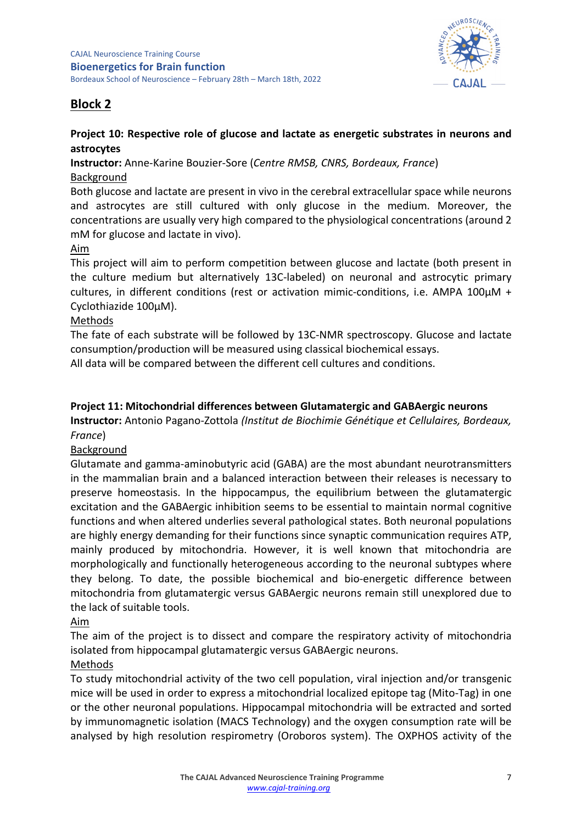

# **Block 2**

### **Project 10: Respective role of glucose and lactate as energetic substrates in neurons and astrocytes**

**Instructor:** Anne-Karine Bouzier-Sore (*Centre RMSB, CNRS, Bordeaux, France*) Background

Both glucose and lactate are present in vivo in the cerebral extracellular space while neurons and astrocytes are still cultured with only glucose in the medium. Moreover, the concentrations are usually very high compared to the physiological concentrations (around 2 mM for glucose and lactate in vivo).

### Aim

This project will aim to perform competition between glucose and lactate (both present in the culture medium but alternatively 13C-labeled) on neuronal and astrocytic primary cultures, in different conditions (rest or activation mimic-conditions, i.e. AMPA 100 $\mu$ M + Cyclothiazide 100µM).

### Methods

The fate of each substrate will be followed by 13C-NMR spectroscopy. Glucose and lactate consumption/production will be measured using classical biochemical essays.

All data will be compared between the different cell cultures and conditions.

### **Project 11: Mitochondrial differences between Glutamatergic and GABAergic neurons**

**Instructor:** Antonio Pagano-Zottola *(Institut de Biochimie Génétique et Cellulaires, Bordeaux, France*)

### Background

Glutamate and gamma-aminobutyric acid (GABA) are the most abundant neurotransmitters in the mammalian brain and a balanced interaction between their releases is necessary to preserve homeostasis. In the hippocampus, the equilibrium between the glutamatergic excitation and the GABAergic inhibition seems to be essential to maintain normal cognitive functions and when altered underlies several pathological states. Both neuronal populations are highly energy demanding for their functions since synaptic communication requires ATP, mainly produced by mitochondria. However, it is well known that mitochondria are morphologically and functionally heterogeneous according to the neuronal subtypes where they belong. To date, the possible biochemical and bio-energetic difference between mitochondria from glutamatergic versus GABAergic neurons remain still unexplored due to the lack of suitable tools.

### Aim

The aim of the project is to dissect and compare the respiratory activity of mitochondria isolated from hippocampal glutamatergic versus GABAergic neurons.

# Methods

To study mitochondrial activity of the two cell population, viral injection and/or transgenic mice will be used in order to express a mitochondrial localized epitope tag (Mito-Tag) in one or the other neuronal populations. Hippocampal mitochondria will be extracted and sorted by immunomagnetic isolation (MACS Technology) and the oxygen consumption rate will be analysed by high resolution respirometry (Oroboros system). The OXPHOS activity of the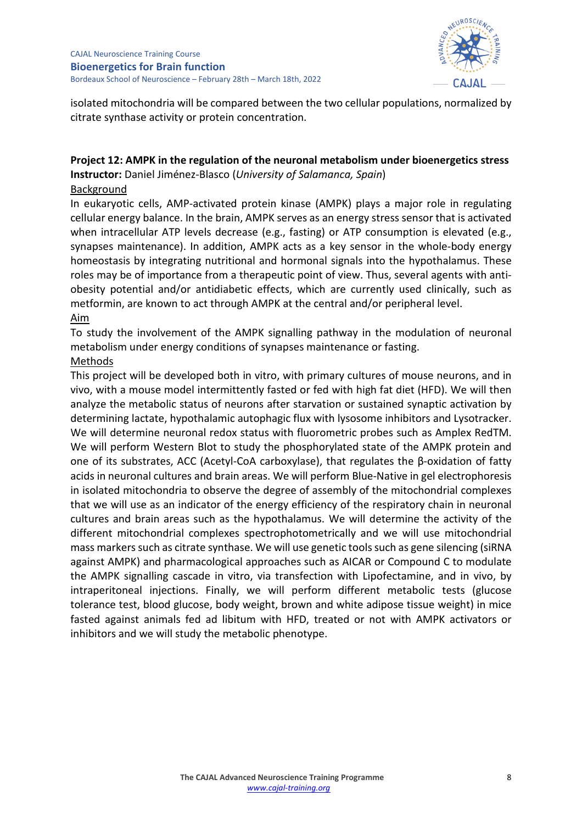

isolated mitochondria will be compared between the two cellular populations, normalized by citrate synthase activity or protein concentration.

# **Project 12: AMPK in the regulation of the neuronal metabolism under bioenergetics stress Instructor:** Daniel Jiménez-Blasco (*University of Salamanca, Spain*)

#### Background

In eukaryotic cells, AMP-activated protein kinase (AMPK) plays a major role in regulating cellular energy balance. In the brain, AMPK serves as an energy stress sensor that is activated when intracellular ATP levels decrease (e.g., fasting) or ATP consumption is elevated (e.g., synapses maintenance). In addition, AMPK acts as a key sensor in the whole-body energy homeostasis by integrating nutritional and hormonal signals into the hypothalamus. These roles may be of importance from a therapeutic point of view. Thus, several agents with antiobesity potential and/or antidiabetic effects, which are currently used clinically, such as metformin, are known to act through AMPK at the central and/or peripheral level.

#### Aim

To study the involvement of the AMPK signalling pathway in the modulation of neuronal metabolism under energy conditions of synapses maintenance or fasting.

### Methods

This project will be developed both in vitro, with primary cultures of mouse neurons, and in vivo, with a mouse model intermittently fasted or fed with high fat diet (HFD). We will then analyze the metabolic status of neurons after starvation or sustained synaptic activation by determining lactate, hypothalamic autophagic flux with lysosome inhibitors and Lysotracker. We will determine neuronal redox status with fluorometric probes such as Amplex RedTM. We will perform Western Blot to study the phosphorylated state of the AMPK protein and one of its substrates, ACC (Acetyl-CoA carboxylase), that regulates the β-oxidation of fatty acids in neuronal cultures and brain areas. We will perform Blue-Native in gel electrophoresis in isolated mitochondria to observe the degree of assembly of the mitochondrial complexes that we will use as an indicator of the energy efficiency of the respiratory chain in neuronal cultures and brain areas such as the hypothalamus. We will determine the activity of the different mitochondrial complexes spectrophotometrically and we will use mitochondrial mass markers such as citrate synthase. We will use genetic tools such as gene silencing (siRNA against AMPK) and pharmacological approaches such as AICAR or Compound C to modulate the AMPK signalling cascade in vitro, via transfection with Lipofectamine, and in vivo, by intraperitoneal injections. Finally, we will perform different metabolic tests (glucose tolerance test, blood glucose, body weight, brown and white adipose tissue weight) in mice fasted against animals fed ad libitum with HFD, treated or not with AMPK activators or inhibitors and we will study the metabolic phenotype.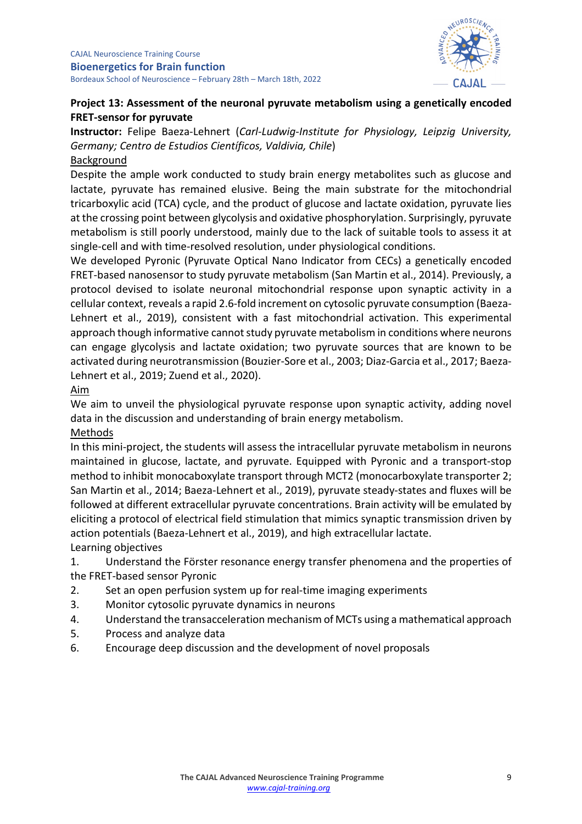

### **Project 13: Assessment of the neuronal pyruvate metabolism using a genetically encoded FRET-sensor for pyruvate**

**Instructor:** Felipe Baeza-Lehnert (*Carl-Ludwig-Institute for Physiology, Leipzig University, Germany; Centro de Estudios Científicos, Valdivia, Chile*) Background

Despite the ample work conducted to study brain energy metabolites such as glucose and lactate, pyruvate has remained elusive. Being the main substrate for the mitochondrial tricarboxylic acid (TCA) cycle, and the product of glucose and lactate oxidation, pyruvate lies at the crossing point between glycolysis and oxidative phosphorylation. Surprisingly, pyruvate metabolism is still poorly understood, mainly due to the lack of suitable tools to assess it at single-cell and with time-resolved resolution, under physiological conditions.

We developed Pyronic (Pyruvate Optical Nano Indicator from CECs) a genetically encoded FRET-based nanosensor to study pyruvate metabolism (San Martin et al., 2014). Previously, a protocol devised to isolate neuronal mitochondrial response upon synaptic activity in a cellular context, reveals a rapid 2.6-fold increment on cytosolic pyruvate consumption (Baeza-Lehnert et al., 2019), consistent with a fast mitochondrial activation. This experimental approach though informative cannot study pyruvate metabolism in conditions where neurons can engage glycolysis and lactate oxidation; two pyruvate sources that are known to be activated during neurotransmission (Bouzier-Sore et al., 2003; Diaz-Garcia et al., 2017; Baeza-Lehnert et al., 2019; Zuend et al., 2020).

### Aim

We aim to unveil the physiological pyruvate response upon synaptic activity, adding novel data in the discussion and understanding of brain energy metabolism.

# Methods

In this mini-project, the students will assess the intracellular pyruvate metabolism in neurons maintained in glucose, lactate, and pyruvate. Equipped with Pyronic and a transport-stop method to inhibit monocaboxylate transport through MCT2 (monocarboxylate transporter 2; San Martin et al., 2014; Baeza-Lehnert et al., 2019), pyruvate steady-states and fluxes will be followed at different extracellular pyruvate concentrations. Brain activity will be emulated by eliciting a protocol of electrical field stimulation that mimics synaptic transmission driven by action potentials (Baeza-Lehnert et al., 2019), and high extracellular lactate. Learning objectives

1. Understand the Förster resonance energy transfer phenomena and the properties of the FRET-based sensor Pyronic

- 2. Set an open perfusion system up for real-time imaging experiments
- 3. Monitor cytosolic pyruvate dynamics in neurons
- 4. Understand the transacceleration mechanism of MCTs using a mathematical approach
- 5. Process and analyze data
- 6. Encourage deep discussion and the development of novel proposals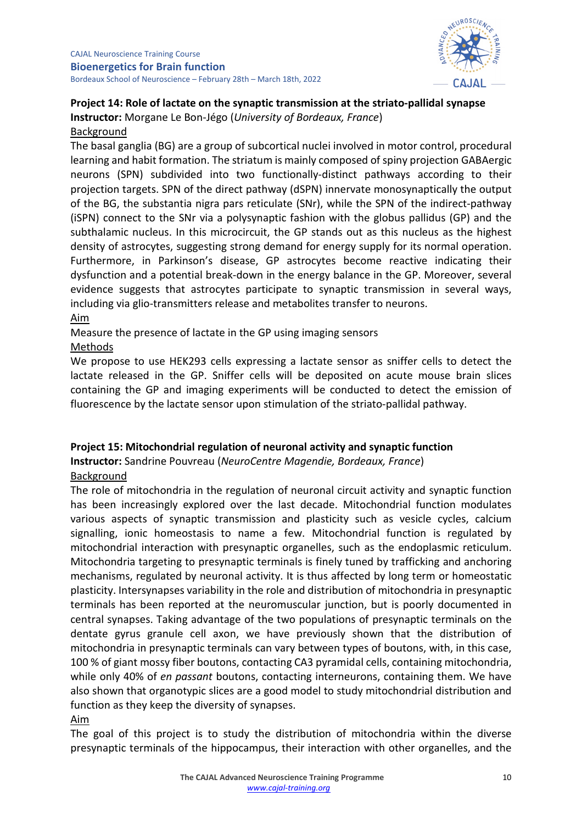

# **Project 14: Role of lactate on the synaptic transmission at the striato-pallidal synapse Instructor:** Morgane Le Bon-Jégo (*University of Bordeaux, France*)

#### Background

The basal ganglia (BG) are a group of subcortical nuclei involved in motor control, procedural learning and habit formation. The striatum is mainly composed of spiny projection GABAergic neurons (SPN) subdivided into two functionally-distinct pathways according to their projection targets. SPN of the direct pathway (dSPN) innervate monosynaptically the output of the BG, the substantia nigra pars reticulate (SNr), while the SPN of the indirect-pathway (iSPN) connect to the SNr via a polysynaptic fashion with the globus pallidus (GP) and the subthalamic nucleus. In this microcircuit, the GP stands out as this nucleus as the highest density of astrocytes, suggesting strong demand for energy supply for its normal operation. Furthermore, in Parkinson's disease, GP astrocytes become reactive indicating their dysfunction and a potential break-down in the energy balance in the GP. Moreover, several evidence suggests that astrocytes participate to synaptic transmission in several ways, including via glio-transmitters release and metabolites transfer to neurons.

#### Aim

Measure the presence of lactate in the GP using imaging sensors

### Methods

We propose to use HEK293 cells expressing a lactate sensor as sniffer cells to detect the lactate released in the GP. Sniffer cells will be deposited on acute mouse brain slices containing the GP and imaging experiments will be conducted to detect the emission of fluorescence by the lactate sensor upon stimulation of the striato-pallidal pathway.

#### **Project 15: Mitochondrial regulation of neuronal activity and synaptic function**

**Instructor:** Sandrine Pouvreau (*NeuroCentre Magendie, Bordeaux, France*) Background

The role of mitochondria in the regulation of neuronal circuit activity and synaptic function has been increasingly explored over the last decade. Mitochondrial function modulates various aspects of synaptic transmission and plasticity such as vesicle cycles, calcium signalling, ionic homeostasis to name a few. Mitochondrial function is regulated by mitochondrial interaction with presynaptic organelles, such as the endoplasmic reticulum. Mitochondria targeting to presynaptic terminals is finely tuned by trafficking and anchoring mechanisms, regulated by neuronal activity. It is thus affected by long term or homeostatic plasticity. Intersynapses variability in the role and distribution of mitochondria in presynaptic terminals has been reported at the neuromuscular junction, but is poorly documented in central synapses. Taking advantage of the two populations of presynaptic terminals on the dentate gyrus granule cell axon, we have previously shown that the distribution of mitochondria in presynaptic terminals can vary between types of boutons, with, in this case, 100 % of giant mossy fiber boutons, contacting CA3 pyramidal cells, containing mitochondria, while only 40% of *en passant* boutons, contacting interneurons, containing them. We have also shown that organotypic slices are a good model to study mitochondrial distribution and function as they keep the diversity of synapses.

#### Aim

The goal of this project is to study the distribution of mitochondria within the diverse presynaptic terminals of the hippocampus, their interaction with other organelles, and the